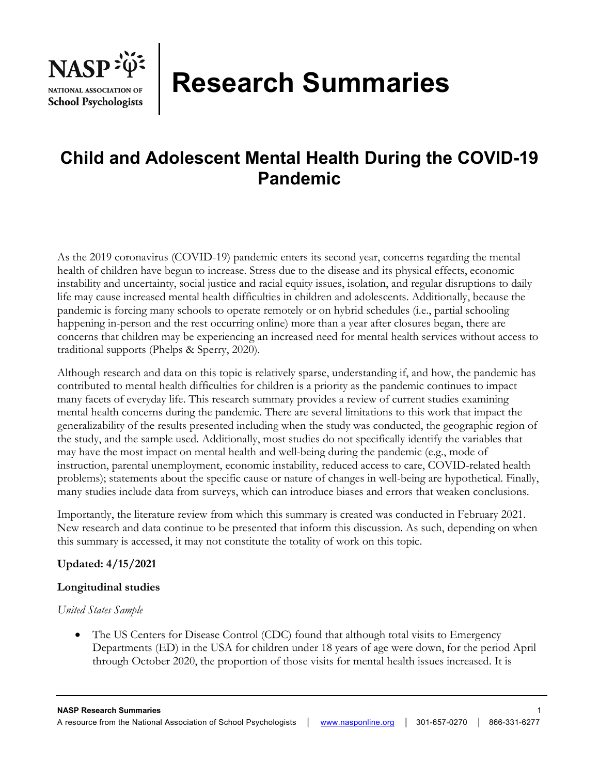

# **Research Summaries**

# **Child and Adolescent Mental Health During the COVID-19 Pandemic**

As the 2019 coronavirus (COVID-19) pandemic enters its second year, concerns regarding the mental health of children have begun to increase. Stress due to the disease and its physical effects, economic instability and uncertainty, social justice and racial equity issues, isolation, and regular disruptions to daily life may cause increased mental health difficulties in children and adolescents. Additionally, because the pandemic is forcing many schools to operate remotely or on hybrid schedules (i.e., partial schooling happening in-person and the rest occurring online) more than a year after closures began, there are concerns that children may be experiencing an increased need for mental health services without access to traditional supports (Phelps & Sperry, 2020).

Although research and data on this topic is relatively sparse, understanding if, and how, the pandemic has contributed to mental health difficulties for children is a priority as the pandemic continues to impact many facets of everyday life. This research summary provides a review of current studies examining mental health concerns during the pandemic. There are several limitations to this work that impact the generalizability of the results presented including when the study was conducted, the geographic region of the study, and the sample used. Additionally, most studies do not specifically identify the variables that may have the most impact on mental health and well-being during the pandemic (e.g., mode of instruction, parental unemployment, economic instability, reduced access to care, COVID-related health problems); statements about the specific cause or nature of changes in well-being are hypothetical. Finally, many studies include data from surveys, which can introduce biases and errors that weaken conclusions.

Importantly, the literature review from which this summary is created was conducted in February 2021. New research and data continue to be presented that inform this discussion. As such, depending on when this summary is accessed, it may not constitute the totality of work on this topic.

# **Updated: 4/15/2021**

# **Longitudinal studies**

# *United States Sample*

• The US Centers for Disease Control (CDC) found that although total visits to Emergency Departments (ED) in the USA for children under 18 years of age were down, for the period April through October 2020, the proportion of those visits for mental health issues increased. It is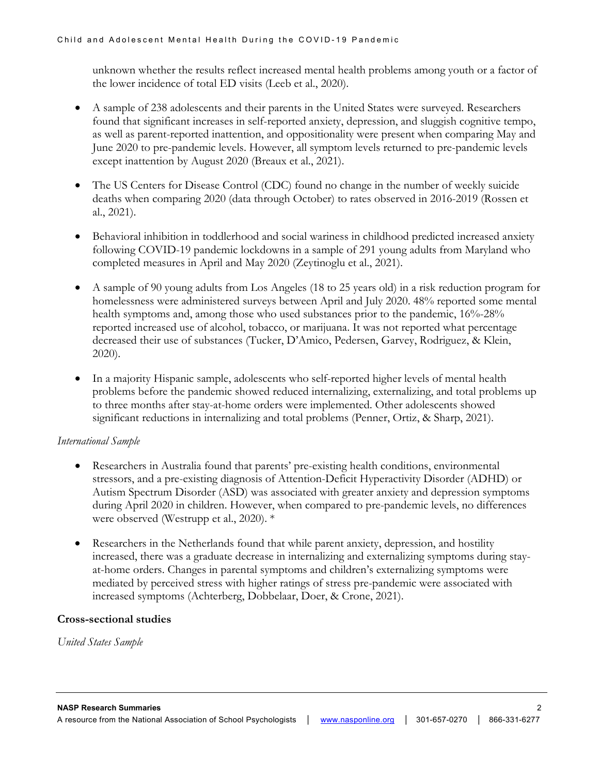unknown whether the results reflect increased mental health problems among youth or a factor of the lower incidence of total ED visits (Leeb et al., 2020).

- A sample of 238 adolescents and their parents in the United States were surveyed. Researchers found that significant increases in self-reported anxiety, depression, and sluggish cognitive tempo, as well as parent-reported inattention, and oppositionality were present when comparing May and June 2020 to pre-pandemic levels. However, all symptom levels returned to pre-pandemic levels except inattention by August 2020 (Breaux et al., 2021).
- The US Centers for Disease Control (CDC) found no change in the number of weekly suicide deaths when comparing 2020 (data through October) to rates observed in 2016-2019 (Rossen et al., 2021).
- Behavioral inhibition in toddlerhood and social wariness in childhood predicted increased anxiety following COVID-19 pandemic lockdowns in a sample of 291 young adults from Maryland who completed measures in April and May 2020 (Zeytinoglu et al., 2021).
- A sample of 90 young adults from Los Angeles (18 to 25 years old) in a risk reduction program for homelessness were administered surveys between April and July 2020. 48% reported some mental health symptoms and, among those who used substances prior to the pandemic,  $16\%$ -28% reported increased use of alcohol, tobacco, or marijuana. It was not reported what percentage decreased their use of substances (Tucker, D'Amico, Pedersen, Garvey, Rodriguez, & Klein, 2020).
- In a majority Hispanic sample, adolescents who self-reported higher levels of mental health problems before the pandemic showed reduced internalizing, externalizing, and total problems up to three months after stay-at-home orders were implemented. Other adolescents showed significant reductions in internalizing and total problems (Penner, Ortiz, & Sharp, 2021).

# *International Sample*

- Researchers in Australia found that parents' pre-existing health conditions, environmental stressors, and a pre-existing diagnosis of Attention-Deficit Hyperactivity Disorder (ADHD) or Autism Spectrum Disorder (ASD) was associated with greater anxiety and depression symptoms during April 2020 in children. However, when compared to pre-pandemic levels, no differences were observed (Westrupp et al., 2020). \*
- Researchers in the Netherlands found that while parent anxiety, depression, and hostility increased, there was a graduate decrease in internalizing and externalizing symptoms during stayat-home orders. Changes in parental symptoms and children's externalizing symptoms were mediated by perceived stress with higher ratings of stress pre-pandemic were associated with increased symptoms (Achterberg, Dobbelaar, Doer, & Crone, 2021).

#### **Cross-sectional studies**

*United States Sample*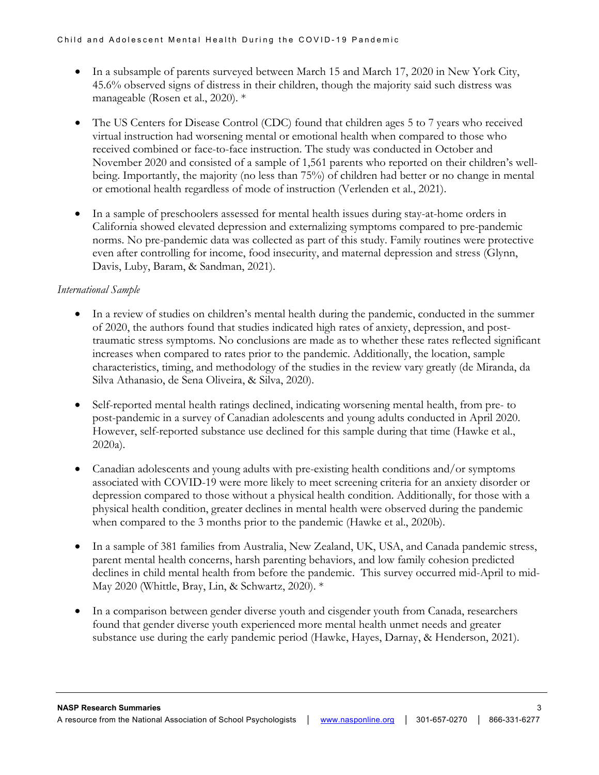- In a subsample of parents surveyed between March 15 and March 17, 2020 in New York City, 45.6% observed signs of distress in their children, though the majority said such distress was manageable (Rosen et al., 2020). \*
- The US Centers for Disease Control (CDC) found that children ages 5 to 7 years who received virtual instruction had worsening mental or emotional health when compared to those who received combined or face-to-face instruction. The study was conducted in October and November 2020 and consisted of a sample of 1,561 parents who reported on their children's wellbeing. Importantly, the majority (no less than 75%) of children had better or no change in mental or emotional health regardless of mode of instruction (Verlenden et al., 2021).
- In a sample of preschoolers assessed for mental health issues during stay-at-home orders in California showed elevated depression and externalizing symptoms compared to pre-pandemic norms. No pre-pandemic data was collected as part of this study. Family routines were protective even after controlling for income, food insecurity, and maternal depression and stress (Glynn, Davis, Luby, Baram, & Sandman, 2021).

# *International Sample*

- In a review of studies on children's mental health during the pandemic, conducted in the summer of 2020, the authors found that studies indicated high rates of anxiety, depression, and posttraumatic stress symptoms. No conclusions are made as to whether these rates reflected significant increases when compared to rates prior to the pandemic. Additionally, the location, sample characteristics, timing, and methodology of the studies in the review vary greatly (de Miranda, da Silva Athanasio, de Sena Oliveira, & Silva, 2020).
- Self-reported mental health ratings declined, indicating worsening mental health, from pre- to post-pandemic in a survey of Canadian adolescents and young adults conducted in April 2020. However, self-reported substance use declined for this sample during that time (Hawke et al., 2020a).
- Canadian adolescents and young adults with pre-existing health conditions and/or symptoms associated with COVID-19 were more likely to meet screening criteria for an anxiety disorder or depression compared to those without a physical health condition. Additionally, for those with a physical health condition, greater declines in mental health were observed during the pandemic when compared to the 3 months prior to the pandemic (Hawke et al., 2020b).
- In a sample of 381 families from Australia, New Zealand, UK, USA, and Canada pandemic stress, parent mental health concerns, harsh parenting behaviors, and low family cohesion predicted declines in child mental health from before the pandemic. This survey occurred mid-April to mid-May 2020 (Whittle, Bray, Lin, & Schwartz, 2020). \*
- In a comparison between gender diverse youth and cisgender youth from Canada, researchers found that gender diverse youth experienced more mental health unmet needs and greater substance use during the early pandemic period (Hawke, Hayes, Darnay, & Henderson, 2021).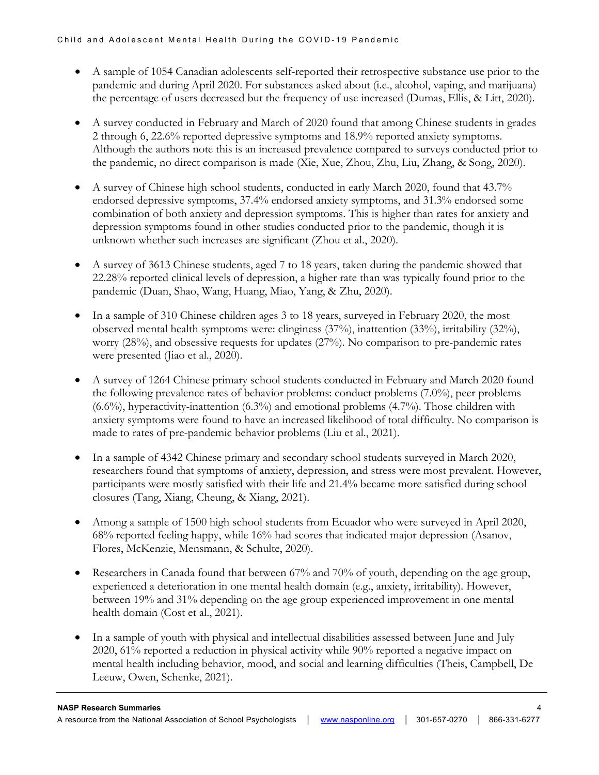- A sample of 1054 Canadian adolescents self-reported their retrospective substance use prior to the pandemic and during April 2020. For substances asked about (i.e., alcohol, vaping, and marijuana) the percentage of users decreased but the frequency of use increased (Dumas, Ellis, & Litt, 2020).
- A survey conducted in February and March of 2020 found that among Chinese students in grades 2 through 6, 22.6% reported depressive symptoms and 18.9% reported anxiety symptoms. Although the authors note this is an increased prevalence compared to surveys conducted prior to the pandemic, no direct comparison is made (Xie, Xue, Zhou, Zhu, Liu, Zhang, & Song, 2020).
- A survey of Chinese high school students, conducted in early March 2020, found that 43.7% endorsed depressive symptoms, 37.4% endorsed anxiety symptoms, and 31.3% endorsed some combination of both anxiety and depression symptoms. This is higher than rates for anxiety and depression symptoms found in other studies conducted prior to the pandemic, though it is unknown whether such increases are significant (Zhou et al., 2020).
- A survey of 3613 Chinese students, aged 7 to 18 years, taken during the pandemic showed that 22.28% reported clinical levels of depression, a higher rate than was typically found prior to the pandemic (Duan, Shao, Wang, Huang, Miao, Yang, & Zhu, 2020).
- In a sample of 310 Chinese children ages 3 to 18 years, surveyed in February 2020, the most observed mental health symptoms were: clinginess (37%), inattention (33%), irritability (32%), worry (28%), and obsessive requests for updates (27%). No comparison to pre-pandemic rates were presented (Jiao et al., 2020).
- A survey of 1264 Chinese primary school students conducted in February and March 2020 found the following prevalence rates of behavior problems: conduct problems (7.0%), peer problems (6.6%), hyperactivity-inattention (6.3%) and emotional problems (4.7%). Those children with anxiety symptoms were found to have an increased likelihood of total difficulty. No comparison is made to rates of pre-pandemic behavior problems (Liu et al., 2021).
- In a sample of 4342 Chinese primary and secondary school students surveyed in March 2020, researchers found that symptoms of anxiety, depression, and stress were most prevalent. However, participants were mostly satisfied with their life and 21.4% became more satisfied during school closures (Tang, Xiang, Cheung, & Xiang, 2021).
- Among a sample of 1500 high school students from Ecuador who were surveyed in April 2020, 68% reported feeling happy, while 16% had scores that indicated major depression (Asanov, Flores, McKenzie, Mensmann, & Schulte, 2020).
- Researchers in Canada found that between 67% and 70% of youth, depending on the age group, experienced a deterioration in one mental health domain (e.g., anxiety, irritability). However, between 19% and 31% depending on the age group experienced improvement in one mental health domain (Cost et al., 2021).
- In a sample of youth with physical and intellectual disabilities assessed between June and July 2020, 61% reported a reduction in physical activity while 90% reported a negative impact on mental health including behavior, mood, and social and learning difficulties (Theis, Campbell, De Leeuw, Owen, Schenke, 2021).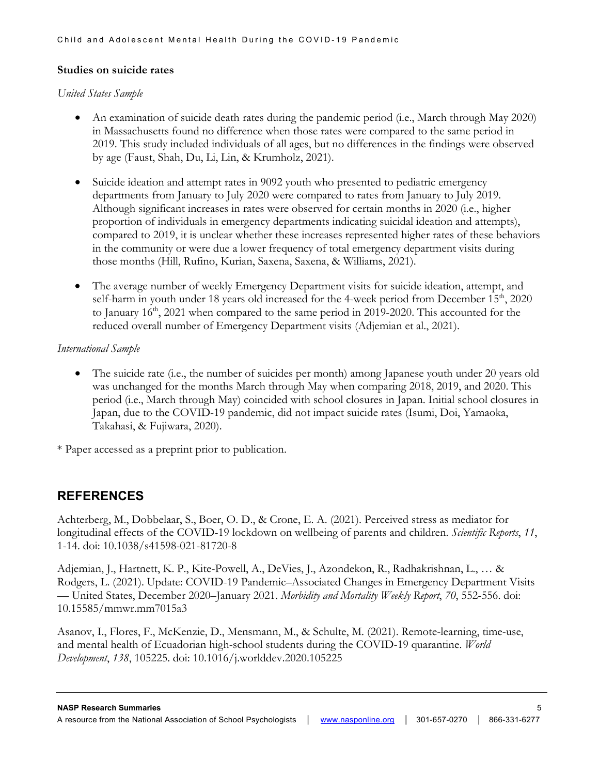# **Studies on suicide rates**

#### *United States Sample*

- An examination of suicide death rates during the pandemic period (i.e., March through May 2020) in Massachusetts found no difference when those rates were compared to the same period in 2019. This study included individuals of all ages, but no differences in the findings were observed by age (Faust, Shah, Du, Li, Lin, & Krumholz, 2021).
- Suicide ideation and attempt rates in 9092 youth who presented to pediatric emergency departments from January to July 2020 were compared to rates from January to July 2019. Although significant increases in rates were observed for certain months in 2020 (i.e., higher proportion of individuals in emergency departments indicating suicidal ideation and attempts), compared to 2019, it is unclear whether these increases represented higher rates of these behaviors in the community or were due a lower frequency of total emergency department visits during those months (Hill, Rufino, Kurian, Saxena, Saxena, & Williams, 2021).
- The average number of weekly Emergency Department visits for suicide ideation, attempt, and self-harm in youth under 18 years old increased for the 4-week period from December  $15<sup>th</sup>$ , 2020 to January  $16<sup>th</sup>$ , 2021 when compared to the same period in 2019-2020. This accounted for the reduced overall number of Emergency Department visits (Adjemian et al., 2021).

#### *International Sample*

• The suicide rate (i.e., the number of suicides per month) among Japanese youth under 20 years old was unchanged for the months March through May when comparing 2018, 2019, and 2020. This period (i.e., March through May) coincided with school closures in Japan. Initial school closures in Japan, due to the COVID-19 pandemic, did not impact suicide rates (Isumi, Doi, Yamaoka, Takahasi, & Fujiwara, 2020).

\* Paper accessed as a preprint prior to publication.

# **REFERENCES**

Achterberg, M., Dobbelaar, S., Boer, O. D., & Crone, E. A. (2021). Perceived stress as mediator for longitudinal effects of the COVID-19 lockdown on wellbeing of parents and children. *Scientific Reports*, *11*, 1-14. doi: 10.1038/s41598-021-81720-8

Adjemian, J., Hartnett, K. P., Kite-Powell, A., DeVies, J., Azondekon, R., Radhakrishnan, L., … & Rodgers, L. (2021). Update: COVID-19 Pandemic–Associated Changes in Emergency Department Visits — United States, December 2020–January 2021. *Morbidity and Mortality Weekly Report*, *70*, 552-556. doi: 10.15585/mmwr.mm7015a3

Asanov, I., Flores, F., McKenzie, D., Mensmann, M., & Schulte, M. (2021). Remote-learning, time-use, and mental health of Ecuadorian high-school students during the COVID-19 quarantine. *World Development*, *138*, 105225. doi: 10.1016/j.worlddev.2020.105225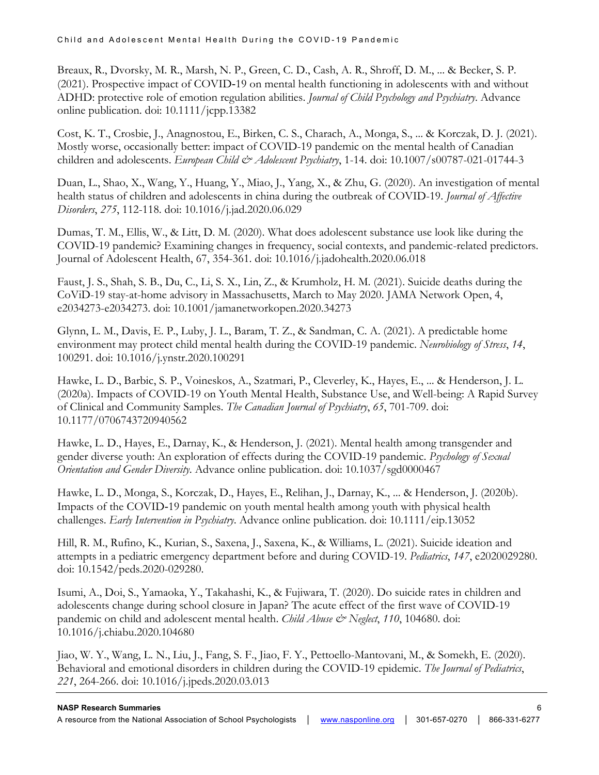Breaux, R., Dvorsky, M. R., Marsh, N. P., Green, C. D., Cash, A. R., Shroff, D. M., ... & Becker, S. P. (2021). Prospective impact of COVID‐19 on mental health functioning in adolescents with and without ADHD: protective role of emotion regulation abilities. *Journal of Child Psychology and Psychiatry*. Advance online publication. doi: 10.1111/jcpp.13382

Cost, K. T., Crosbie, J., Anagnostou, E., Birken, C. S., Charach, A., Monga, S., ... & Korczak, D. J. (2021). Mostly worse, occasionally better: impact of COVID-19 pandemic on the mental health of Canadian children and adolescents. *European Child & Adolescent Psychiatry*, 1-14. doi: 10.1007/s00787-021-01744-3

Duan, L., Shao, X., Wang, Y., Huang, Y., Miao, J., Yang, X., & Zhu, G. (2020). An investigation of mental health status of children and adolescents in china during the outbreak of COVID-19. *Journal of Affective Disorders*, *275*, 112-118. doi: 10.1016/j.jad.2020.06.029

Dumas, T. M., Ellis, W., & Litt, D. M. (2020). What does adolescent substance use look like during the COVID-19 pandemic? Examining changes in frequency, social contexts, and pandemic-related predictors. Journal of Adolescent Health, 67, 354-361. doi: 10.1016/j.jadohealth.2020.06.018

Faust, J. S., Shah, S. B., Du, C., Li, S. X., Lin, Z., & Krumholz, H. M. (2021). Suicide deaths during the CoViD-19 stay-at-home advisory in Massachusetts, March to May 2020. JAMA Network Open, 4, e2034273-e2034273. doi: 10.1001/jamanetworkopen.2020.34273

Glynn, L. M., Davis, E. P., Luby, J. L., Baram, T. Z., & Sandman, C. A. (2021). A predictable home environment may protect child mental health during the COVID-19 pandemic. *Neurobiology of Stress*, *14*, 100291. doi: 10.1016/j.ynstr.2020.100291

Hawke, L. D., Barbic, S. P., Voineskos, A., Szatmari, P., Cleverley, K., Hayes, E., ... & Henderson, J. L. (2020a). Impacts of COVID-19 on Youth Mental Health, Substance Use, and Well-being: A Rapid Survey of Clinical and Community Samples. *The Canadian Journal of Psychiatry*, *65*, 701-709. doi: 10.1177/0706743720940562

Hawke, L. D., Hayes, E., Darnay, K., & Henderson, J. (2021). Mental health among transgender and gender diverse youth: An exploration of effects during the COVID-19 pandemic. *Psychology of Sexual Orientation and Gender Diversity*. Advance online publication. doi: 10.1037/sgd0000467

Hawke, L. D., Monga, S., Korczak, D., Hayes, E., Relihan, J., Darnay, K., ... & Henderson, J. (2020b). Impacts of the COVID‐19 pandemic on youth mental health among youth with physical health challenges. *Early Intervention in Psychiatry*. Advance online publication. doi: 10.1111/eip.13052

Hill, R. M., Rufino, K., Kurian, S., Saxena, J., Saxena, K., & Williams, L. (2021). Suicide ideation and attempts in a pediatric emergency department before and during COVID-19. *Pediatrics*, *147*, e2020029280. doi: 10.1542/peds.2020-029280.

Isumi, A., Doi, S., Yamaoka, Y., Takahashi, K., & Fujiwara, T. (2020). Do suicide rates in children and adolescents change during school closure in Japan? The acute effect of the first wave of COVID-19 pandemic on child and adolescent mental health. *Child Abuse*  $\mathcal{Q}$  Neglect, 110, 104680. doi: 10.1016/j.chiabu.2020.104680

Jiao, W. Y., Wang, L. N., Liu, J., Fang, S. F., Jiao, F. Y., Pettoello-Mantovani, M., & Somekh, E. (2020). Behavioral and emotional disorders in children during the COVID-19 epidemic. *The Journal of Pediatrics*, *221*, 264-266. doi: 10.1016/j.jpeds.2020.03.013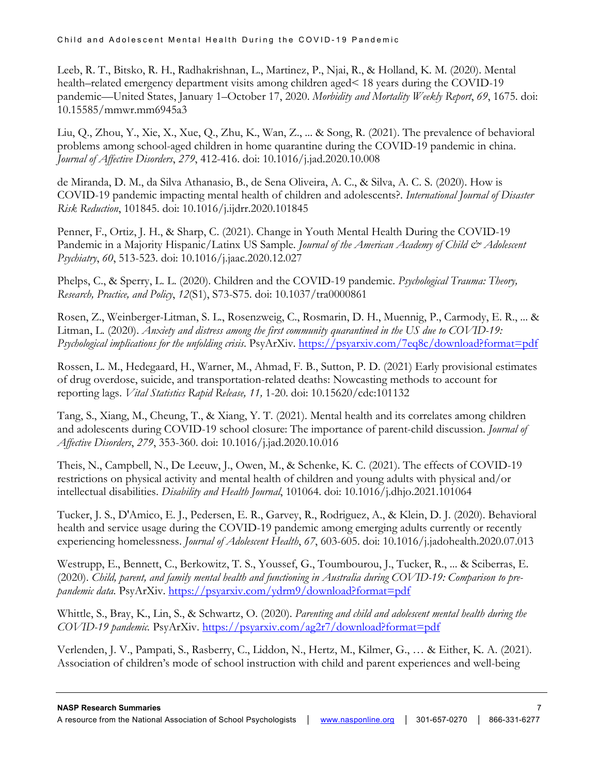Leeb, R. T., Bitsko, R. H., Radhakrishnan, L., Martinez, P., Njai, R., & Holland, K. M. (2020). Mental health–related emergency department visits among children aged< 18 years during the COVID-19 pandemic—United States, January 1–October 17, 2020. *Morbidity and Mortality Weekly Report*, *69*, 1675. doi: 10.15585/mmwr.mm6945a3

Liu, Q., Zhou, Y., Xie, X., Xue, Q., Zhu, K., Wan, Z., ... & Song, R. (2021). The prevalence of behavioral problems among school-aged children in home quarantine during the COVID-19 pandemic in china. *Journal of Affective Disorders*, *279*, 412-416. doi: 10.1016/j.jad.2020.10.008

de Miranda, D. M., da Silva Athanasio, B., de Sena Oliveira, A. C., & Silva, A. C. S. (2020). How is COVID-19 pandemic impacting mental health of children and adolescents?. *International Journal of Disaster Risk Reduction*, 101845. doi: 10.1016/j.ijdrr.2020.101845

Penner, F., Ortiz, J. H., & Sharp, C. (2021). Change in Youth Mental Health During the COVID-19 Pandemic in a Majority Hispanic/Latinx US Sample. *Journal of the American Academy of Child & Adolescent Psychiatry*, *60*, 513-523. doi: 10.1016/j.jaac.2020.12.027

Phelps, C., & Sperry, L. L. (2020). Children and the COVID-19 pandemic. *Psychological Trauma: Theory, Research, Practice, and Policy*, *12*(S1), S73-S75. doi: 10.1037/tra0000861

Rosen, Z., Weinberger-Litman, S. L., Rosenzweig, C., Rosmarin, D. H., Muennig, P., Carmody, E. R., ... & Litman, L. (2020). *Anxiety and distress among the first community quarantined in the US due to COVID-19: Psychological implications for the unfolding crisis*. PsyArXiv.<https://psyarxiv.com/7eq8c/download?format=pdf>

Rossen, L. M., Hedegaard, H., Warner, M., Ahmad, F. B., Sutton, P. D. (2021) Early provisional estimates of drug overdose, suicide, and transportation-related deaths: Nowcasting methods to account for reporting lags. *Vital Statistics Rapid Release, 11,* 1-20. doi: 10.15620/cdc:101132

Tang, S., Xiang, M., Cheung, T., & Xiang, Y. T. (2021). Mental health and its correlates among children and adolescents during COVID-19 school closure: The importance of parent-child discussion. *Journal of Affective Disorders*, *279*, 353-360. doi: 10.1016/j.jad.2020.10.016

Theis, N., Campbell, N., De Leeuw, J., Owen, M., & Schenke, K. C. (2021). The effects of COVID-19 restrictions on physical activity and mental health of children and young adults with physical and/or intellectual disabilities. *Disability and Health Journal*, 101064. doi: 10.1016/j.dhjo.2021.101064

Tucker, J. S., D'Amico, E. J., Pedersen, E. R., Garvey, R., Rodriguez, A., & Klein, D. J. (2020). Behavioral health and service usage during the COVID-19 pandemic among emerging adults currently or recently experiencing homelessness. *Journal of Adolescent Health*, *67*, 603-605. doi: 10.1016/j.jadohealth.2020.07.013

Westrupp, E., Bennett, C., Berkowitz, T. S., Youssef, G., Toumbourou, J., Tucker, R., ... & Sciberras, E. (2020). *Child, parent, and family mental health and functioning in Australia during COVID-19: Comparison to prepandemic data.* PsyArXiv.<https://psyarxiv.com/ydrm9/download?format=pdf>

Whittle, S., Bray, K., Lin, S., & Schwartz, O. (2020). *Parenting and child and adolescent mental health during the COVID-19 pandemic.* PsyArXiv.<https://psyarxiv.com/ag2r7/download?format=pdf>

Verlenden, J. V., Pampati, S., Rasberry, C., Liddon, N., Hertz, M., Kilmer, G., … & Either, K. A. (2021). Association of children's mode of school instruction with child and parent experiences and well-being